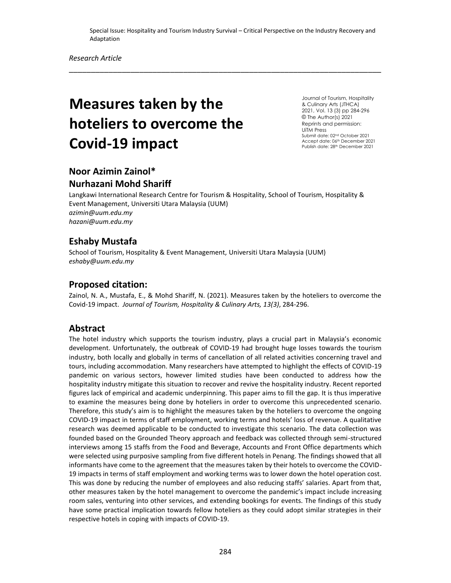\_\_\_\_\_\_\_\_\_\_\_\_\_\_\_\_\_\_\_\_\_\_\_\_\_\_\_\_\_\_\_\_\_\_\_\_\_\_\_\_\_\_\_\_\_\_\_\_\_\_\_\_\_\_\_\_\_\_\_\_\_\_\_\_\_\_\_\_\_\_\_

# **Measures taken by the hoteliers to overcome the Covid-19 impact**

Journal of Tourism, Hospitality & Culinary Arts (JTHCA) 2021, Vol. 13 (3) pp 284-296 © The Author(s) 2021 Reprints and permission: UiTM Press Submit date: 02nd October 2021 Accept date: 06th December 2021 Publish date: 28<sup>th</sup> December 2021

# **Noor Azimin Zainol\***

## **Nurhazani Mohd Shariff**

Langkawi International Research Centre for Tourism & Hospitality, School of Tourism, Hospitality & Event Management, Universiti Utara Malaysia (UUM) *azimin@uum.edu.my hazani@uum.edu.my*

## **Eshaby Mustafa**

School of Tourism, Hospitality & Event Management, Universiti Utara Malaysia (UUM) *eshaby@uum.edu.my*

## **Proposed citation:**

Zainol, N. A., Mustafa, E., & Mohd Shariff, N. (2021). Measures taken by the hoteliers to overcome the Covid-19 impact. *Journal of Tourism, Hospitality & Culinary Arts, 13(3)*, 284-296.

## **Abstract**

The hotel industry which supports the tourism industry, plays a crucial part in Malaysia's economic development. Unfortunately, the outbreak of COVID-19 had brought huge losses towards the tourism industry, both locally and globally in terms of cancellation of all related activities concerning travel and tours, including accommodation. Many researchers have attempted to highlight the effects of COVID-19 pandemic on various sectors, however limited studies have been conducted to address how the hospitality industry mitigate this situation to recover and revive the hospitality industry. Recent reported figures lack of empirical and academic underpinning. This paper aims to fill the gap. It is thus imperative to examine the measures being done by hoteliers in order to overcome this unprecedented scenario. Therefore, this study's aim is to highlight the measures taken by the hoteliers to overcome the ongoing COVID-19 impact in terms of staff employment, working terms and hotels' loss of revenue. A qualitative research was deemed applicable to be conducted to investigate this scenario. The data collection was founded based on the Grounded Theory approach and feedback was collected through semi-structured interviews among 15 staffs from the Food and Beverage, Accounts and Front Office departments which were selected using purposive sampling from five different hotels in Penang. The findings showed that all informants have come to the agreement that the measures taken by their hotels to overcome the COVID-19 impacts in terms of staff employment and working terms was to lower down the hotel operation cost. This was done by reducing the number of employees and also reducing staffs' salaries. Apart from that, other measures taken by the hotel management to overcome the pandemic's impact include increasing room sales, venturing into other services, and extending bookings for events. The findings of this study have some practical implication towards fellow hoteliers as they could adopt similar strategies in their respective hotels in coping with impacts of COVID-19.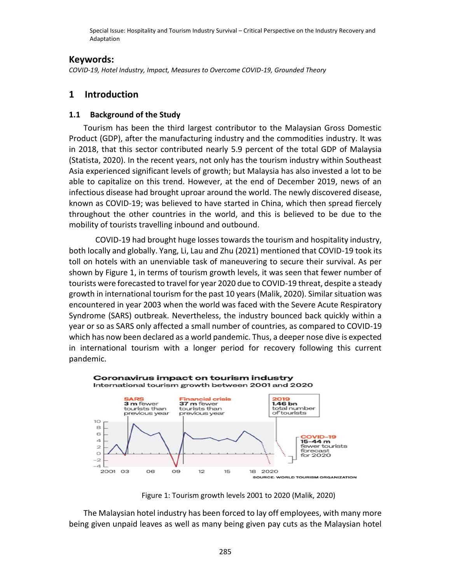#### **Keywords:**

*COVID-19, Hotel Industry, Impact, Measures to Overcome COVID-19, Grounded Theory*

## **1 Introduction**

#### **1.1 Background of the Study**

Tourism has been the third largest contributor to the Malaysian Gross Domestic Product (GDP), after the manufacturing industry and the commodities industry. It was in 2018, that this sector contributed nearly 5.9 percent of the total GDP of Malaysia (Statista, 2020). In the recent years, not only has the tourism industry within Southeast Asia experienced significant levels of growth; but Malaysia has also invested a lot to be able to capitalize on this trend. However, at the end of December 2019, news of an infectious disease had brought uproar around the world. The newly discovered disease, known as COVID-19; was believed to have started in China, which then spread fiercely throughout the other countries in the world, and this is believed to be due to the mobility of tourists travelling inbound and outbound.

COVID-19 had brought huge losses towards the tourism and hospitality industry, both locally and globally. Yang, Li, Lau and Zhu (2021) mentioned that COVID-19 took its toll on hotels with an unenviable task of maneuvering to secure their survival. As per shown by Figure 1, in terms of tourism growth levels, it was seen that fewer number of tourists were forecasted to travel for year 2020 due to COVID-19 threat, despite a steady growth in international tourism for the past 10 years (Malik, 2020). Similar situation was encountered in year 2003 when the world was faced with the Severe Acute Respiratory Syndrome (SARS) outbreak. Nevertheless, the industry bounced back quickly within a year or so as SARS only affected a small number of countries, as compared to COVID-19 which has now been declared as a world pandemic. Thus, a deeper nose dive is expected in international tourism with a longer period for recovery following this current pandemic.



Figure 1: Tourism growth levels 2001 to 2020 (Malik, 2020)

The Malaysian hotel industry has been forced to lay off employees, with many more being given unpaid leaves as well as many being given pay cuts as the Malaysian hotel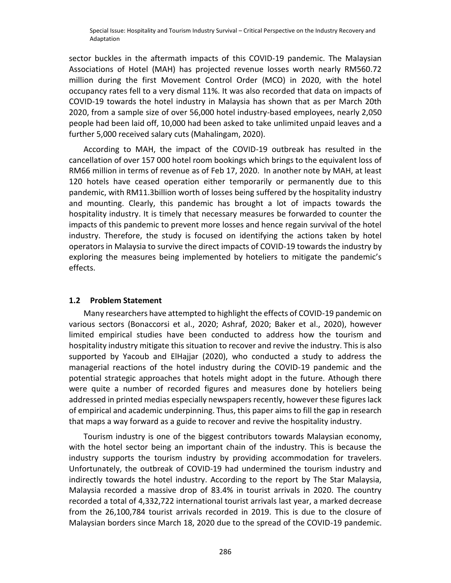sector buckles in the aftermath impacts of this COVID-19 pandemic. The Malaysian Associations of Hotel (MAH) has projected revenue losses worth nearly RM560.72 million during the first Movement Control Order (MCO) in 2020, with the hotel occupancy rates fell to a very dismal 11%. It was also recorded that data on impacts of COVID-19 towards the hotel industry in Malaysia has shown that as per March 20th 2020, from a sample size of over 56,000 hotel industry-based employees, nearly 2,050 people had been laid off, 10,000 had been asked to take unlimited unpaid leaves and a further 5,000 received salary cuts (Mahalingam, 2020).

According to MAH, the impact of the COVID-19 outbreak has resulted in the cancellation of over 157 000 hotel room bookings which brings to the equivalent loss of RM66 million in terms of revenue as of Feb 17, 2020. In another note by MAH, at least 120 hotels have ceased operation either temporarily or permanently due to this pandemic, with RM11.3billion worth of losses being suffered by the hospitality industry and mounting. Clearly, this pandemic has brought a lot of impacts towards the hospitality industry. It is timely that necessary measures be forwarded to counter the impacts of this pandemic to prevent more losses and hence regain survival of the hotel industry. Therefore, the study is focused on identifying the actions taken by hotel operators in Malaysia to survive the direct impacts of COVID-19 towards the industry by exploring the measures being implemented by hoteliers to mitigate the pandemic's effects.

#### **1.2 Problem Statement**

Many researchers have attempted to highlight the effects of COVID-19 pandemic on various sectors (Bonaccorsi et al., 2020; Ashraf, 2020; Baker et al., 2020), however limited empirical studies have been conducted to address how the tourism and hospitality industry mitigate this situation to recover and revive the industry. This is also supported by Yacoub and ElHajjar (2020), who conducted a study to address the managerial reactions of the hotel industry during the COVID-19 pandemic and the potential strategic approaches that hotels might adopt in the future. Athough there were quite a number of recorded figures and measures done by hoteliers being addressed in printed medias especially newspapers recently, however these figures lack of empirical and academic underpinning. Thus, this paper aims to fill the gap in research that maps a way forward as a guide to recover and revive the hospitality industry.

Tourism industry is one of the biggest contributors towards Malaysian economy, with the hotel sector being an important chain of the industry. This is because the industry supports the tourism industry by providing accommodation for travelers. Unfortunately, the outbreak of COVID-19 had undermined the tourism industry and indirectly towards the hotel industry. According to the report by The Star Malaysia, Malaysia recorded a massive drop of 83.4% in tourist arrivals in 2020. The country recorded a total of 4,332,722 international tourist arrivals last year, a marked decrease from the 26,100,784 tourist arrivals recorded in 2019. This is due to the closure of Malaysian borders since March 18, 2020 due to the spread of the COVID-19 pandemic.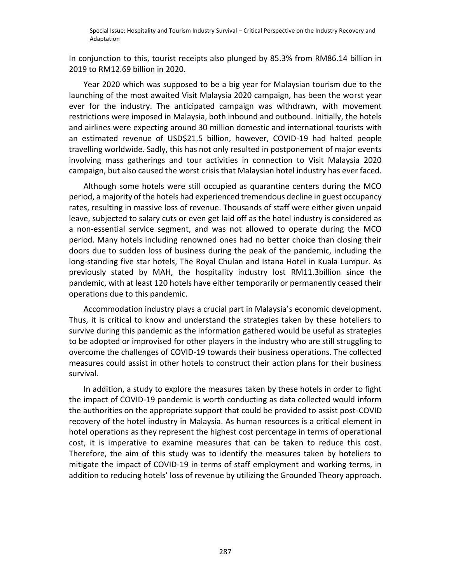In conjunction to this, tourist receipts also plunged by 85.3% from RM86.14 billion in 2019 to RM12.69 billion in 2020.

Year 2020 which was supposed to be a big year for Malaysian tourism due to the launching of the most awaited Visit Malaysia 2020 campaign, has been the worst year ever for the industry. The anticipated campaign was withdrawn, with movement restrictions were imposed in Malaysia, both inbound and outbound. Initially, the hotels and airlines were expecting around 30 million domestic and international tourists with an estimated revenue of USD\$21.5 billion, however, COVID-19 had halted people travelling worldwide. Sadly, this has not only resulted in postponement of major events involving mass gatherings and tour activities in connection to Visit Malaysia 2020 campaign, but also caused the worst crisis that Malaysian hotel industry has ever faced.

Although some hotels were still occupied as quarantine centers during the MCO period, a majority of the hotels had experienced tremendous decline in guest occupancy rates, resulting in massive loss of revenue. Thousands of staff were either given unpaid leave, subjected to salary cuts or even get laid off as the hotel industry is considered as a non-essential service segment, and was not allowed to operate during the MCO period. Many hotels including renowned ones had no better choice than closing their doors due to sudden loss of business during the peak of the pandemic, including the long-standing five star hotels, The Royal Chulan and Istana Hotel in Kuala Lumpur. As previously stated by MAH, the hospitality industry lost RM11.3billion since the pandemic, with at least 120 hotels have either temporarily or permanently ceased their operations due to this pandemic.

Accommodation industry plays a crucial part in Malaysia's economic development. Thus, it is critical to know and understand the strategies taken by these hoteliers to survive during this pandemic as the information gathered would be useful as strategies to be adopted or improvised for other players in the industry who are still struggling to overcome the challenges of COVID-19 towards their business operations. The collected measures could assist in other hotels to construct their action plans for their business survival.

In addition, a study to explore the measures taken by these hotels in order to fight the impact of COVID-19 pandemic is worth conducting as data collected would inform the authorities on the appropriate support that could be provided to assist post-COVID recovery of the hotel industry in Malaysia. As human resources is a critical element in hotel operations as they represent the highest cost percentage in terms of operational cost, it is imperative to examine measures that can be taken to reduce this cost. Therefore, the aim of this study was to identify the measures taken by hoteliers to mitigate the impact of COVID-19 in terms of staff employment and working terms, in addition to reducing hotels' loss of revenue by utilizing the Grounded Theory approach.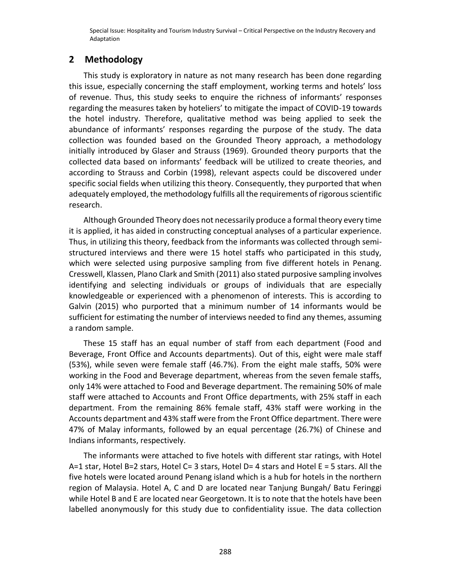### **2 Methodology**

This study is exploratory in nature as not many research has been done regarding this issue, especially concerning the staff employment, working terms and hotels' loss of revenue. Thus, this study seeks to enquire the richness of informants' responses regarding the measures taken by hoteliers' to mitigate the impact of COVID-19 towards the hotel industry. Therefore, qualitative method was being applied to seek the abundance of informants' responses regarding the purpose of the study. The data collection was founded based on the Grounded Theory approach, a methodology initially introduced by Glaser and Strauss (1969). Grounded theory purports that the collected data based on informants' feedback will be utilized to create theories, and according to Strauss and Corbin (1998), relevant aspects could be discovered under specific social fields when utilizing this theory. Consequently, they purported that when adequately employed, the methodology fulfills all the requirements of rigorous scientific research.

Although Grounded Theory does not necessarily produce a formal theory every time it is applied, it has aided in constructing conceptual analyses of a particular experience. Thus, in utilizing this theory, feedback from the informants was collected through semistructured interviews and there were 15 hotel staffs who participated in this study, which were selected using purposive sampling from five different hotels in Penang. Cresswell, Klassen, Plano Clark and Smith (2011) also stated purposive sampling involves identifying and selecting individuals or groups of individuals that are especially knowledgeable or experienced with a phenomenon of interests. This is according to Galvin (2015) who purported that a minimum number of 14 informants would be sufficient for estimating the number of interviews needed to find any themes, assuming a random sample.

These 15 staff has an equal number of staff from each department (Food and Beverage, Front Office and Accounts departments). Out of this, eight were male staff (53%), while seven were female staff (46.7%). From the eight male staffs, 50% were working in the Food and Beverage department, whereas from the seven female staffs, only 14% were attached to Food and Beverage department. The remaining 50% of male staff were attached to Accounts and Front Office departments, with 25% staff in each department. From the remaining 86% female staff, 43% staff were working in the Accounts department and 43% staff were from the Front Office department. There were 47% of Malay informants, followed by an equal percentage (26.7%) of Chinese and Indians informants, respectively.

The informants were attached to five hotels with different star ratings, with Hotel A=1 star, Hotel B=2 stars, Hotel C= 3 stars, Hotel D= 4 stars and Hotel E = 5 stars. All the five hotels were located around Penang island which is a hub for hotels in the northern region of Malaysia. Hotel A, C and D are located near Tanjung Bungah/ Batu Feringgi while Hotel B and E are located near Georgetown. It is to note that the hotels have been labelled anonymously for this study due to confidentiality issue. The data collection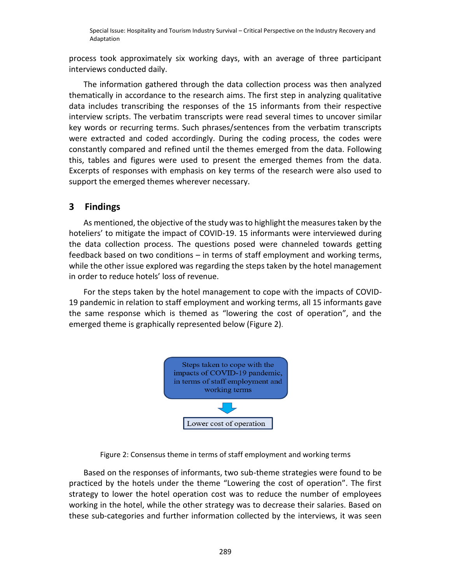process took approximately six working days, with an average of three participant interviews conducted daily.

The information gathered through the data collection process was then analyzed thematically in accordance to the research aims. The first step in analyzing qualitative data includes transcribing the responses of the 15 informants from their respective interview scripts. The verbatim transcripts were read several times to uncover similar key words or recurring terms. Such phrases/sentences from the verbatim transcripts were extracted and coded accordingly. During the coding process, the codes were constantly compared and refined until the themes emerged from the data. Following this, tables and figures were used to present the emerged themes from the data. Excerpts of responses with emphasis on key terms of the research were also used to support the emerged themes wherever necessary.

# **3 Findings**

As mentioned, the objective of the study was to highlight the measures taken by the hoteliers' to mitigate the impact of COVID-19. 15 informants were interviewed during the data collection process. The questions posed were channeled towards getting feedback based on two conditions – in terms of staff employment and working terms, while the other issue explored was regarding the steps taken by the hotel management in order to reduce hotels' loss of revenue.

For the steps taken by the hotel management to cope with the impacts of COVID-19 pandemic in relation to staff employment and working terms, all 15 informants gave the same response which is themed as "lowering the cost of operation", and the emerged theme is graphically represented below (Figure 2).



Figure 2: Consensus theme in terms of staff employment and working terms

Based on the responses of informants, two sub-theme strategies were found to be practiced by the hotels under the theme "Lowering the cost of operation". The first strategy to lower the hotel operation cost was to reduce the number of employees working in the hotel, while the other strategy was to decrease their salaries. Based on these sub-categories and further information collected by the interviews, it was seen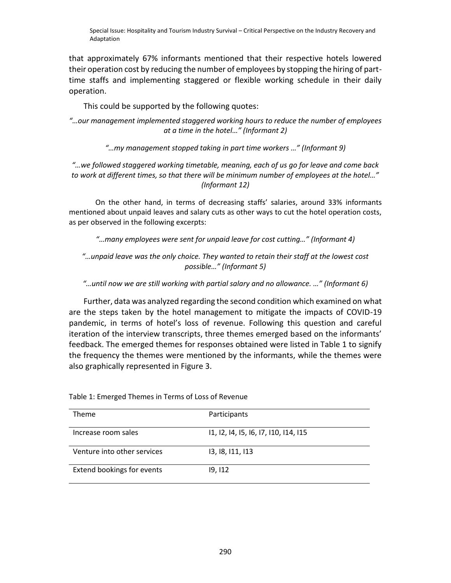that approximately 67% informants mentioned that their respective hotels lowered their operation cost by reducing the number of employees by stopping the hiring of parttime staffs and implementing staggered or flexible working schedule in their daily operation.

This could be supported by the following quotes:

*"…our management implemented staggered working hours to reduce the number of employees at a time in the hotel…" (Informant 2)*

*"…my management stopped taking in part time workers …" (Informant 9)*

*"…we followed staggered working timetable, meaning, each of us go for leave and come back to work at different times, so that there will be minimum number of employees at the hotel…" (Informant 12)*

On the other hand, in terms of decreasing staffs' salaries, around 33% informants mentioned about unpaid leaves and salary cuts as other ways to cut the hotel operation costs, as per observed in the following excerpts:

*"…many employees were sent for unpaid leave for cost cutting…" (Informant 4)*

*"…unpaid leave was the only choice. They wanted to retain their staff at the lowest cost possible…" (Informant 5)*

*"…until now we are still working with partial salary and no allowance. …" (Informant 6)*

Further, data was analyzed regarding the second condition which examined on what are the steps taken by the hotel management to mitigate the impacts of COVID-19 pandemic, in terms of hotel's loss of revenue. Following this question and careful iteration of the interview transcripts, three themes emerged based on the informants' feedback. The emerged themes for responses obtained were listed in Table 1 to signify the frequency the themes were mentioned by the informants, while the themes were also graphically represented in Figure 3.

| Theme                       | Participants                          |
|-----------------------------|---------------------------------------|
| Increase room sales         | 11, 12, 14, 15, 16, 17, 110, 114, 115 |
| Venture into other services | 13, 18, 111, 113                      |
| Extend bookings for events  | 19, 112                               |

Table 1: Emerged Themes in Terms of Loss of Revenue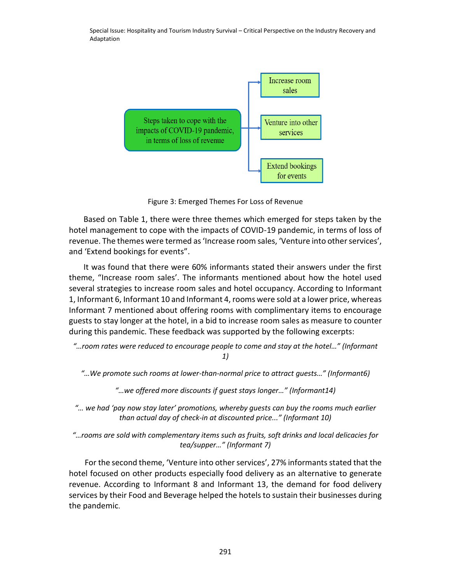

Figure 3: Emerged Themes For Loss of Revenue

Based on Table 1, there were three themes which emerged for steps taken by the hotel management to cope with the impacts of COVID-19 pandemic, in terms of loss of revenue. The themes were termed as 'Increase room sales, 'Venture into other services', and 'Extend bookings for events".

It was found that there were 60% informants stated their answers under the first theme, "Increase room sales'. The informants mentioned about how the hotel used several strategies to increase room sales and hotel occupancy. According to Informant 1, Informant 6, Informant 10 and Informant 4, rooms were sold at a lower price, whereas Informant 7 mentioned about offering rooms with complimentary items to encourage guests to stay longer at the hotel, in a bid to increase room sales as measure to counter during this pandemic. These feedback was supported by the following excerpts:

*"…room rates were reduced to encourage people to come and stay at the hotel…" (Informant 1)*

*"…We promote such rooms at lower-than-normal price to attract guests…" (Informant6)*

*"…we offered more discounts if guest stays longer…" (Informant14)*

*"… we had 'pay now stay later' promotions, whereby guests can buy the rooms much earlier than actual day of check-in at discounted price..." (Informant 10)*

*"…rooms are sold with complementary items such as fruits, soft drinks and local delicacies for tea/supper…" (Informant 7)*

For the second theme, 'Venture into other services', 27% informants stated that the hotel focused on other products especially food delivery as an alternative to generate revenue. According to Informant 8 and Informant 13, the demand for food delivery services by their Food and Beverage helped the hotels to sustain their businesses during the pandemic.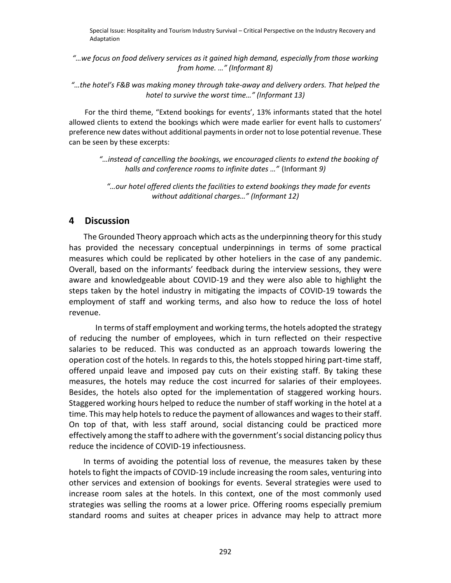*"…we focus on food delivery services as it gained high demand, especially from those working from home. …" (Informant 8)*

*"…the hotel's F&B was making money through take-away and delivery orders. That helped the hotel to survive the worst time…" (Informant 13)*

For the third theme, "Extend bookings for events', 13% informants stated that the hotel allowed clients to extend the bookings which were made earlier for event halls to customers' preference new dates without additional payments in order not to lose potential revenue. These can be seen by these excerpts:

*"…instead of cancelling the bookings, we encouraged clients to extend the booking of halls and conference rooms to infinite dates …"* (Informant *9)*

*"…our hotel offered clients the facilities to extend bookings they made for events without additional charges…" (Informant 12)*

#### **4 Discussion**

The Grounded Theory approach which acts as the underpinning theory for this study has provided the necessary conceptual underpinnings in terms of some practical measures which could be replicated by other hoteliers in the case of any pandemic. Overall, based on the informants' feedback during the interview sessions, they were aware and knowledgeable about COVID-19 and they were also able to highlight the steps taken by the hotel industry in mitigating the impacts of COVID-19 towards the employment of staff and working terms, and also how to reduce the loss of hotel revenue.

In terms of staff employment and working terms, the hotels adopted the strategy of reducing the number of employees, which in turn reflected on their respective salaries to be reduced. This was conducted as an approach towards lowering the operation cost of the hotels. In regards to this, the hotels stopped hiring part-time staff, offered unpaid leave and imposed pay cuts on their existing staff. By taking these measures, the hotels may reduce the cost incurred for salaries of their employees. Besides, the hotels also opted for the implementation of staggered working hours. Staggered working hours helped to reduce the number of staff working in the hotel at a time. This may help hotels to reduce the payment of allowances and wages to their staff. On top of that, with less staff around, social distancing could be practiced more effectively among the staff to adhere with the government's social distancing policy thus reduce the incidence of COVID-19 infectiousness.

In terms of avoiding the potential loss of revenue, the measures taken by these hotels to fight the impacts of COVID-19 include increasing the room sales, venturing into other services and extension of bookings for events. Several strategies were used to increase room sales at the hotels. In this context, one of the most commonly used strategies was selling the rooms at a lower price. Offering rooms especially premium standard rooms and suites at cheaper prices in advance may help to attract more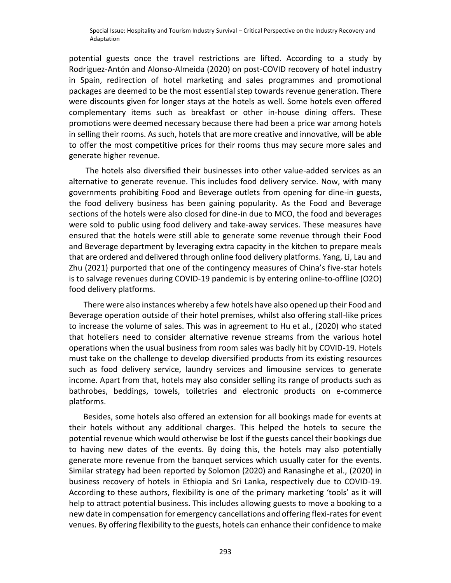potential guests once the travel restrictions are lifted. According to a study by Rodríguez-Antón and Alonso-Almeida (2020) on post-COVID recovery of hotel industry in Spain, redirection of hotel marketing and sales programmes and promotional packages are deemed to be the most essential step towards revenue generation. There were discounts given for longer stays at the hotels as well. Some hotels even offered complementary items such as breakfast or other in-house dining offers. These promotions were deemed necessary because there had been a price war among hotels in selling their rooms. As such, hotels that are more creative and innovative, will be able to offer the most competitive prices for their rooms thus may secure more sales and generate higher revenue.

The hotels also diversified their businesses into other value-added services as an alternative to generate revenue. This includes food delivery service. Now, with many governments prohibiting Food and Beverage outlets from opening for dine-in guests, the food delivery business has been gaining popularity. As the Food and Beverage sections of the hotels were also closed for dine-in due to MCO, the food and beverages were sold to public using food delivery and take-away services. These measures have ensured that the hotels were still able to generate some revenue through their Food and Beverage department by leveraging extra capacity in the kitchen to prepare meals that are ordered and delivered through online food delivery platforms. Yang, Li, Lau and Zhu (2021) purported that one of the contingency measures of China's five-star hotels is to salvage revenues during COVID-19 pandemic is by entering online-to-offline (O2O) food delivery platforms.

There were also instances whereby a few hotels have also opened up their Food and Beverage operation outside of their hotel premises, whilst also offering stall-like prices to increase the volume of sales. This was in agreement to Hu et al., (2020) who stated that hoteliers need to consider alternative revenue streams from the various hotel operations when the usual business from room sales was badly hit by COVID-19. Hotels must take on the challenge to develop diversified products from its existing resources such as food delivery service, laundry services and limousine services to generate income. Apart from that, hotels may also consider selling its range of products such as bathrobes, beddings, towels, toiletries and electronic products on e-commerce platforms.

Besides, some hotels also offered an extension for all bookings made for events at their hotels without any additional charges. This helped the hotels to secure the potential revenue which would otherwise be lost if the guests cancel their bookings due to having new dates of the events. By doing this, the hotels may also potentially generate more revenue from the banquet services which usually cater for the events. Similar strategy had been reported by Solomon (2020) and Ranasinghe et al., (2020) in business recovery of hotels in Ethiopia and Sri Lanka, respectively due to COVID-19. According to these authors, flexibility is one of the primary marketing 'tools' as it will help to attract potential business. This includes allowing guests to move a booking to a new date in compensation for emergency cancellations and offering flexi-rates for event venues. By offering flexibility to the guests, hotels can enhance their confidence to make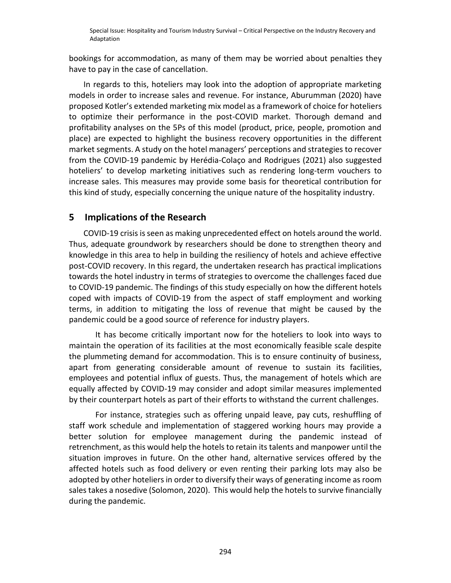bookings for accommodation, as many of them may be worried about penalties they have to pay in the case of cancellation.

In regards to this, hoteliers may look into the adoption of appropriate marketing models in order to increase sales and revenue. For instance, Aburumman (2020) have proposed Kotler's extended marketing mix model as a framework of choice for hoteliers to optimize their performance in the post-COVID market. Thorough demand and profitability analyses on the 5Ps of this model (product, price, people, promotion and place) are expected to highlight the business recovery opportunities in the different market segments. A study on the hotel managers' perceptions and strategies to recover from the COVID-19 pandemic by Herédia-Colaço and Rodrigues (2021) also suggested hoteliers' to develop marketing initiatives such as rendering long-term vouchers to increase sales. This measures may provide some basis for theoretical contribution for this kind of study, especially concerning the unique nature of the hospitality industry.

# **5 Implications of the Research**

COVID-19 crisis is seen as making unprecedented effect on hotels around the world. Thus, adequate groundwork by researchers should be done to strengthen theory and knowledge in this area to help in building the resiliency of hotels and achieve effective post-COVID recovery. In this regard, the undertaken research has practical implications towards the hotel industry in terms of strategies to overcome the challenges faced due to COVID-19 pandemic. The findings of this study especially on how the different hotels coped with impacts of COVID-19 from the aspect of staff employment and working terms, in addition to mitigating the loss of revenue that might be caused by the pandemic could be a good source of reference for industry players.

It has become critically important now for the hoteliers to look into ways to maintain the operation of its facilities at the most economically feasible scale despite the plummeting demand for accommodation. This is to ensure continuity of business, apart from generating considerable amount of revenue to sustain its facilities, employees and potential influx of guests. Thus, the management of hotels which are equally affected by COVID-19 may consider and adopt similar measures implemented by their counterpart hotels as part of their efforts to withstand the current challenges.

For instance, strategies such as offering unpaid leave, pay cuts, reshuffling of staff work schedule and implementation of staggered working hours may provide a better solution for employee management during the pandemic instead of retrenchment, as this would help the hotels to retain its talents and manpower until the situation improves in future. On the other hand, alternative services offered by the affected hotels such as food delivery or even renting their parking lots may also be adopted by other hoteliers in order to diversify their ways of generating income as room sales takes a nosedive (Solomon, 2020). This would help the hotels to survive financially during the pandemic.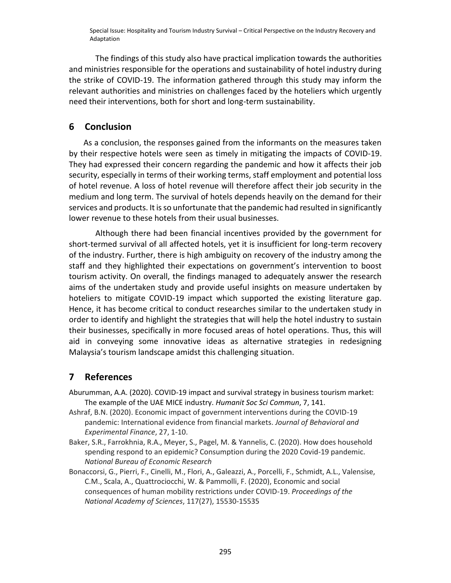The findings of this study also have practical implication towards the authorities and ministries responsible for the operations and sustainability of hotel industry during the strike of COVID-19. The information gathered through this study may inform the relevant authorities and ministries on challenges faced by the hoteliers which urgently need their interventions, both for short and long-term sustainability.

## **6 Conclusion**

As a conclusion, the responses gained from the informants on the measures taken by their respective hotels were seen as timely in mitigating the impacts of COVID-19. They had expressed their concern regarding the pandemic and how it affects their job security, especially in terms of their working terms, staff employment and potential loss of hotel revenue. A loss of hotel revenue will therefore affect their job security in the medium and long term. The survival of hotels depends heavily on the demand for their services and products. It is so unfortunate that the pandemic had resulted in significantly lower revenue to these hotels from their usual businesses.

Although there had been financial incentives provided by the government for short-termed survival of all affected hotels, yet it is insufficient for long-term recovery of the industry. Further, there is high ambiguity on recovery of the industry among the staff and they highlighted their expectations on government's intervention to boost tourism activity. On overall, the findings managed to adequately answer the research aims of the undertaken study and provide useful insights on measure undertaken by hoteliers to mitigate COVID-19 impact which supported the existing literature gap. Hence, it has become critical to conduct researches similar to the undertaken study in order to identify and highlight the strategies that will help the hotel industry to sustain their businesses, specifically in more focused areas of hotel operations. Thus, this will aid in conveying some innovative ideas as alternative strategies in redesigning Malaysia's tourism landscape amidst this challenging situation.

# **7 References**

Aburumman, A.A. (2020). COVID-19 impact and survival strategy in business tourism market: The example of the UAE MICE industry. *Humanit Soc Sci Commun*, 7, 141.

- Ashraf, B.N. (2020). Economic impact of government interventions during the COVID-19 pandemic: International evidence from financial markets. *Journal of Behavioral and Experimental Finance*, 27, 1-10.
- Baker, S.R., Farrokhnia, R.A., Meyer, S., Pagel, M. & Yannelis, C. (2020). How does household spending respond to an epidemic? Consumption during the 2020 Covid-19 pandemic. *National Bureau of Economic Research*
- Bonaccorsi, G., Pierri, F., Cinelli, M., Flori, A., Galeazzi, A., Porcelli, F., Schmidt, A.L., Valensise, C.M., Scala, A., Quattrociocchi, W. & Pammolli, F. (2020), Economic and social consequences of human mobility restrictions under COVID-19. *Proceedings of the National Academy of Sciences*, 117(27), 15530-15535